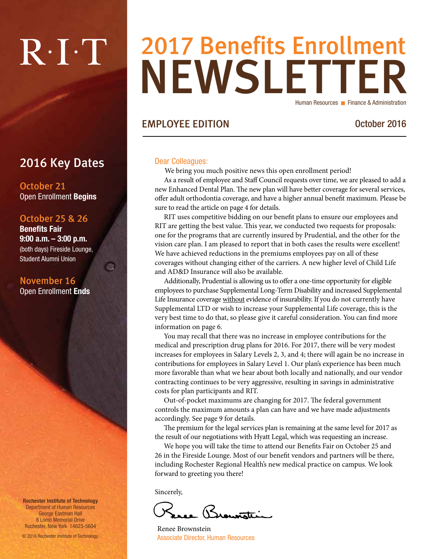# $R \cdot I \cdot T$

### NEWSLETTER 2017 Benefits Enrollment Human Resources **Finance & Administration**

#### EMPLOYEE EDITION October 2016

#### Dear Colleagues:

We bring you much positive news this open enrollment period!

As a result of employee and Staff Council requests over time, we are pleased to add a new Enhanced Dental Plan. The new plan will have better coverage for several services, offer adult orthodontia coverage, and have a higher annual benefit maximum. Please be sure to read the article on page 4 for details.

RIT uses competitive bidding on our benefit plans to ensure our employees and RIT are getting the best value. This year, we conducted two requests for proposals: one for the programs that are currently insured by Prudential, and the other for the vision care plan. I am pleased to report that in both cases the results were excellent! We have achieved reductions in the premiums employees pay on all of these coverages without changing either of the carriers. A new higher level of Child Life and AD&D Insurance will also be available.

Additionally, Prudential is allowing us to offer a one-time opportunity for eligible employees to purchase Supplemental Long-Term Disability and increased Supplemental Life Insurance coverage without evidence of insurability. If you do not currently have Supplemental LTD or wish to increase your Supplemental Life coverage, this is the very best time to do that, so please give it careful consideration. You can find more information on page 6.

You may recall that there was no increase in employee contributions for the medical and prescription drug plans for 2016. For 2017, there will be very modest increases for employees in Salary Levels 2, 3, and 4; there will again be no increase in contributions for employees in Salary Level 1. Our plan's experience has been much more favorable than what we hear about both locally and nationally, and our vendor contracting continues to be very aggressive, resulting in savings in administrative costs for plan participants and RIT.

Out-of-pocket maximums are changing for 2017. The federal government controls the maximum amounts a plan can have and we have made adjustments accordingly. See page 9 for details.

The premium for the legal services plan is remaining at the same level for 2017 as the result of our negotiations with Hyatt Legal, which was requesting an increase.

We hope you will take the time to attend our Benefits Fair on October 25 and 26 in the Fireside Lounge. Most of our benefit vendors and partners will be there, including Rochester Regional Health's new medical practice on campus. We look forward to greeting you there!

Sincerely,

Le Brouwatti

Renee Brownstein Associate Director, Human Resources

2016 Key Dates

October 21 Open Enrollment Begins

#### October 25 & 26

Benefits Fair 9:00 a.m. – 3:00 p.m. (both days) Fireside Lounge, Student Alumni Union

画

November 16 Open Enrollment Ends

Rochester Institute of Technology Department of Human Resources George Eastman Hall 8 Lomb Memorial Drive Rochester, New York 14623-5604

© 2016 Rochester Institute of Technology.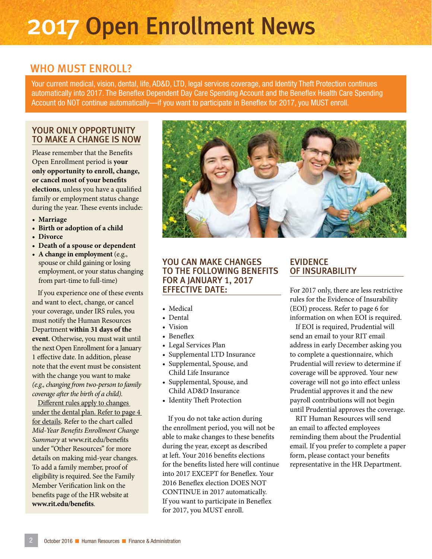### 2017 Open Enrollment News

#### WHO MUST ENROLL?

Your current medical, vision, dental, life, AD&D, LTD, legal services coverage, and Identity Theft Protection continues automatically into 2017. The Beneflex Dependent Day Care Spending Account and the Beneflex Health Care Spending Account do NOT continue automatically—if you want to participate in Beneflex for 2017, you MUST enroll.

#### YOUR ONLY OPPORTUNITY TO MAKE A CHANGE IS NOW

Please remember that the Benefits Open Enrollment period is **your only opportunity to enroll, change, or cancel most of your benefits elections**, unless you have a qualified family or employment status change during the year. These events include:

- **• Marriage**
- **• Birth or adoption of a child**
- **• Divorce**
- **• Death of a spouse or dependent**
- **• A change in employment** (e.g., spouse or child gaining or losing employment, or your status changing from part-time to full-time)

If you experience one of these events and want to elect, change, or cancel your coverage, under IRS rules, you must notify the Human Resources Department **within 31 days of the event**. Otherwise, you must wait until the next Open Enrollment for a January 1 effective date. In addition, please note that the event must be consistent with the change you want to make *(e.g., changing from two-person to family coverage after the birth of a child).* 

Different rules apply to changes under the dental plan. Refer to page 4 for details. Refer to the chart called *Mid-Year Benefits Enrollment Change Summary* at www.rit.edu/benefits under "Other Resources" for more details on making mid-year changes. To add a family member, proof of eligibility is required. See the Family Member Verification link on the benefits page of the HR website at **www.rit.edu/benefits**.



#### YOU CAN MAKE CHANGES TO THE FOLLOWING BENEFITS FOR A JANUARY 1, 2017 EFFECTIVE DATE:

- Medical
- Dental
- Vision
- Beneflex
- Legal Services Plan
- Supplemental LTD Insurance
- Supplemental, Spouse, and Child Life Insurance
- Supplemental, Spouse, and Child AD&D Insurance
- Identity Theft Protection

If you do not take action during the enrollment period, you will not be able to make changes to these benefits during the year, except as described at left. Your 2016 benefits elections for the benefits listed here will continue into 2017 EXCEPT for Beneflex. Your 2016 Beneflex election DOES NOT CONTINUE in 2017 automatically. If you want to participate in Beneflex for 2017, you MUST enroll.

#### EVIDENCE OF INSURABILITY

For 2017 only, there are less restrictive rules for the Evidence of Insurability (EOI) process. Refer to page 6 for information on when EOI is required.

If EOI is required, Prudential will send an email to your RIT email address in early December asking you to complete a questionnaire, which Prudential will review to determine if coverage will be approved. Your new coverage will not go into effect unless Prudential approves it and the new payroll contributions will not begin until Prudential approves the coverage.

RIT Human Resources will send an email to affected employees reminding them about the Prudential email. If you prefer to complete a paper form, please contact your benefits representative in the HR Department.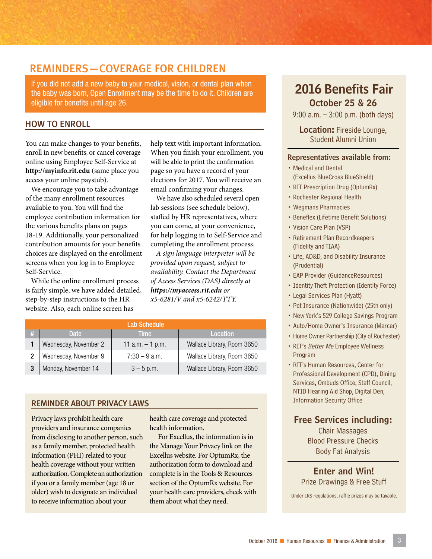#### REMINDERS—COVERAGE FOR CHILDREN

If you did not add a new baby to your medical, vision, or dental plan when the baby was born, Open Enrollment may be the time to do it. Children are eligible for benefits until age 26.

#### HOW TO ENROLL

You can make changes to your benefits, enroll in new benefits, or cancel coverage online using Employee Self-Service at **http://myinfo.rit.edu** (same place you access your online paystub).

We encourage you to take advantage of the many enrollment resources available to you. You will find the employee contribution information for the various benefits plans on pages 18-19. Additionally, your personalized contribution amounts for your benefits choices are displayed on the enrollment screens when you log in to Employee Self-Service.

While the online enrollment process is fairly simple, we have added detailed, step-by-step instructions to the HR website. Also, each online screen has

help text with important information. When you finish your enrollment, you will be able to print the confirmation page so you have a record of your elections for 2017. You will receive an email confirming your changes.

We have also scheduled several open lab sessions (see schedule below), staffed by HR representatives, where you can come, at your convenience, for help logging in to Self-Service and completing the enrollment process.

*A sign language interpreter will be provided upon request, subject to availability. Contact the Department of Access Services (DAS) directly at https://myaccess.rit.edu or x5-6281/V and x5-6242/TTY.*

|   |                       | Lab Schedule       |                            |
|---|-----------------------|--------------------|----------------------------|
| # | Date                  | Time               | <b>Location</b>            |
|   | Wednesday, November 2 | 11 $a.m. - 1 p.m.$ | Wallace Library, Room 3650 |
|   | Wednesday, November 9 | $7:30 - 9$ a.m.    | Wallace Library, Room 3650 |
|   | Monday, November 14   | $3 - 5$ p.m.       | Wallace Library, Room 3650 |

#### REMINDER ABOUT PRIVACY LAWS

Privacy laws prohibit health care providers and insurance companies from disclosing to another person, such as a family member, protected health information (PHI) related to your health coverage without your written authorization. Complete an authorization if you or a family member (age 18 or older) wish to designate an individual to receive information about your

health care coverage and protected health information.

For Excellus, the information is in the Manage Your Privacy link on the Excellus website. For OptumRx, the authorization form to download and complete is in the Tools & Resources section of the OptumRx website. For your health care providers, check with your riearch care providers, crieck with Under IRS regulations, raffle prizes may be taxable.<br>them about what they need.

#### October 25 & 26 2016 Benefits Fair

9:00 a.m. – 3:00 p.m. (both days)

Location: Fireside Lounge, Student Alumni Union

#### Representatives available from:

- Medical and Dental (Excellus BlueCross BlueShield)
- RIT Prescription Drug (OptumRx)
- Rochester Regional Health
- Wegmans Pharmacies
- Beneflex (Lifetime Benefit Solutions)
- Vision Care Plan (VSP)
- Retirement Plan Recordkeepers (Fidelity and TIAA)
- Life, AD&D, and Disability Insurance (Prudential)
- EAP Provider (GuidanceResources)
- Identity Theft Protection (Identity Force)
- Legal Services Plan (Hyatt)
- Pet Insurance (Nationwide) (25th only)
- New York's 529 College Savings Program
- Auto/Home Owner's Insurance (Mercer)
- Home Owner Partnership (City of Rochester)
- RIT's Better Me Employee Wellness Program
- RIT's Human Resources, Center for Professional Development (CPD), Dining Services, Ombuds Office, Staff Council, NTID Hearing Aid Shop, Digital Den, Information Security Office

Chair Massages Free Services including:

Blood Pressure Checks Body Fat Analysis

Enter and Win! Prize Drawings & Free Stuff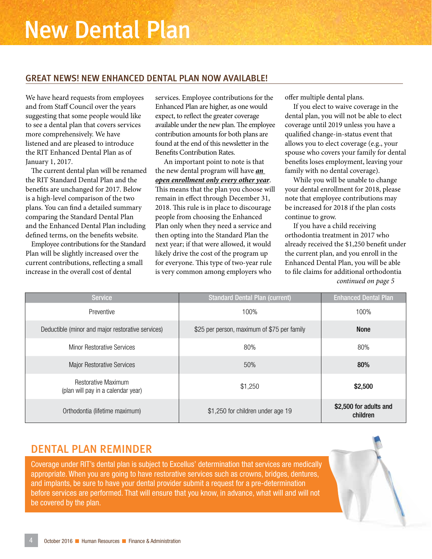#### GREAT NEWS! NEW ENHANCED DENTAL PLAN NOW AVAILABLE!

We have heard requests from employees and from Staff Council over the years suggesting that some people would like to see a dental plan that covers services more comprehensively. We have listened and are pleased to introduce the RIT Enhanced Dental Plan as of January 1, 2017.

The current dental plan will be renamed the RIT Standard Dental Plan and the benefits are unchanged for 2017. Below is a high-level comparison of the two plans. You can find a detailed summary comparing the Standard Dental Plan and the Enhanced Dental Plan including defined terms, on the benefits website.

Employee contributions for the Standard Plan will be slightly increased over the current contributions, reflecting a small increase in the overall cost of dental

services. Employee contributions for the Enhanced Plan are higher, as one would expect, to reflect the greater coverage available under the new plan. The employee contribution amounts for both plans are found at the end of this newsletter in the Benefits Contribution Rates.

An important point to note is that the new dental program will have *an open enrollment only every other year*. This means that the plan you choose will remain in effect through December 31, 2018. This rule is in place to discourage people from choosing the Enhanced Plan only when they need a service and then opting into the Standard Plan the next year; if that were allowed, it would likely drive the cost of the program up for everyone. This type of two-year rule is very common among employers who

offer multiple dental plans.

If you elect to waive coverage in the dental plan, you will not be able to elect coverage until 2019 unless you have a qualified change-in-status event that allows you to elect coverage (e.g., your spouse who covers your family for dental benefits loses employment, leaving your family with no dental coverage).

While you will be unable to change your dental enrollment for 2018, please note that employee contributions may be increased for 2018 if the plan costs continue to grow.

If you have a child receiving orthodontia treatment in 2017 who already received the \$1,250 benefit under the current plan, and you enroll in the Enhanced Dental Plan, you will be able to file claims for additional orthodontia *continued on page 5*

| <b>Service</b>                                                   | <b>Standard Dental Plan (current)</b>       | <b>Enhanced Dental Plan</b>        |
|------------------------------------------------------------------|---------------------------------------------|------------------------------------|
| Preventive                                                       | 100%                                        | 100%                               |
| Deductible (minor and major restorative services)                | \$25 per person, maximum of \$75 per family | <b>None</b>                        |
| <b>Minor Restorative Services</b>                                | 80%                                         | 80%                                |
| <b>Major Restorative Services</b>                                | 50%                                         | 80%                                |
| <b>Restorative Maximum</b><br>(plan will pay in a calendar year) | \$1,250                                     | \$2,500                            |
| Orthodontia (lifetime maximum)                                   | \$1,250 for children under age 19           | \$2,500 for adults and<br>children |

#### DENTAL PLAN REMINDER

Coverage under RIT's dental plan is subject to Excellus' determination that services are medically appropriate. When you are going to have restorative services such as crowns, bridges, dentures, and implants, be sure to have your dental provider submit a request for a pre-determination before services are performed. That will ensure that you know, in advance, what will and will not be covered by the plan.

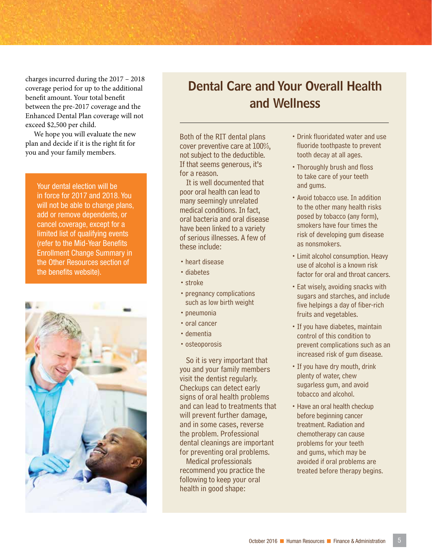charges incurred during the 2017 – 2018 coverage period for up to the additional benefit amount. Your total benefit between the pre-2017 coverage and the Enhanced Dental Plan coverage will not exceed \$2,500 per child.

We hope you will evaluate the new plan and decide if it is the right fit for you and your family members.

Your dental election will be in force for 2017 and 2018. You will not be able to change plans, add or remove dependents, or cancel coverage, except for a limited list of qualifying events (refer to the Mid-Year Benefits Enrollment Change Summary in the Other Resources section of the benefits website).



### Dental Care and Your Overall Health and Wellness

Both of the RIT dental plans cover preventive care at 100%, not subject to the deductible. If that seems generous, it's for a reason.

It is well documented that poor oral health can lead to many seemingly unrelated medical conditions. In fact, oral bacteria and oral disease have been linked to a variety of serious illnesses. A few of these include:

- •heart disease
- •diabetes
- stroke
- pregnancy complications such as low birth weight
- pneumonia
- oral cancer
- •dementia
- osteoporosis

So it is very important that you and your family members visit the dentist regularly. Checkups can detect early signs of oral health problems and can lead to treatments that will prevent further damage, and in some cases, reverse the problem. Professional dental cleanings are important for preventing oral problems. Medical professionals

recommend you practice the following to keep your oral health in good shape:

- •Drink fluoridated water and use fluoride toothpaste to prevent tooth decay at all ages.
- •Thoroughly brush and floss to take care of your teeth and gums.
- •Avoid tobacco use. In addition to the other many health risks posed by tobacco (any form), smokers have four times the risk of developing gum disease as nonsmokers.
- •Limit alcohol consumption. Heavy use of alcohol is a known risk factor for oral and throat cancers.
- •Eat wisely, avoiding snacks with sugars and starches, and include five helpings a day of fiber-rich fruits and vegetables.
- •If you have diabetes, maintain control of this condition to prevent complications such as an increased risk of gum disease.
- •If you have dry mouth, drink plenty of water, chew sugarless gum, and avoid tobacco and alcohol.
- Have an oral health checkup before beginning cancer treatment. Radiation and chemotherapy can cause problems for your teeth and gums, which may be avoided if oral problems are treated before therapy begins.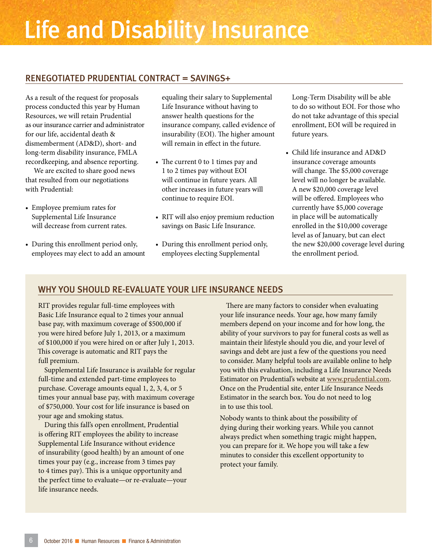## Life and Disability Insurance

#### RENEGOTIATED PRUDENTIAL CONTRACT = SAVINGS+

As a result of the request for proposals process conducted this year by Human Resources, we will retain Prudential as our insurance carrier and administrator for our life, accidental death & dismemberment (AD&D), short- and long-term disability insurance, FMLA recordkeeping, and absence reporting.

We are excited to share good news that resulted from our negotiations with Prudential:

- Employee premium rates for Supplemental Life Insurance will decrease from current rates.
- During this enrollment period only, employees may elect to add an amount

equaling their salary to Supplemental Life Insurance without having to answer health questions for the insurance company, called evidence of insurability (EOI). The higher amount will remain in effect in the future.

- The current 0 to 1 times pay and 1 to 2 times pay without EOI will continue in future years. All other increases in future years will continue to require EOI.
- RIT will also enjoy premium reduction savings on Basic Life Insurance.
- During this enrollment period only, employees electing Supplemental

Long-Term Disability will be able to do so without EOI. For those who do not take advantage of this special enrollment, EOI will be required in future years.

• Child life insurance and AD&D insurance coverage amounts will change. The \$5,000 coverage level will no longer be available. A new \$20,000 coverage level will be offered. Employees who currently have \$5,000 coverage in place will be automatically enrolled in the \$10,000 coverage level as of January, but can elect the new \$20,000 coverage level during the enrollment period.

#### WHY YOU SHOULD RE-EVALUATE YOUR LIFE INSURANCE NEEDS

RIT provides regular full-time employees with Basic Life Insurance equal to 2 times your annual base pay, with maximum coverage of \$500,000 if you were hired before July 1, 2013, or a maximum of \$100,000 if you were hired on or after July 1, 2013. This coverage is automatic and RIT pays the full premium.

Supplemental Life Insurance is available for regular full-time and extended part-time employees to purchase. Coverage amounts equal 1, 2, 3, 4, or 5 times your annual base pay, with maximum coverage of \$750,000. Your cost for life insurance is based on your age and smoking status.

During this fall's open enrollment, Prudential is offering RIT employees the ability to increase Supplemental Life Insurance without evidence of insurability (good health) by an amount of one times your pay (e.g., increase from 3 times pay to 4 times pay). This is a unique opportunity and the perfect time to evaluate—or re-evaluate—your life insurance needs.

There are many factors to consider when evaluating your life insurance needs. Your age, how many family members depend on your income and for how long, the ability of your survivors to pay for funeral costs as well as maintain their lifestyle should you die, and your level of savings and debt are just a few of the questions you need to consider. Many helpful tools are available online to help you with this evaluation, including a Life Insurance Needs Estimator on Prudential's website at www.prudential.com. Once on the Prudential site, enter Life Insurance Needs Estimator in the search box. You do not need to log in to use this tool.

Nobody wants to think about the possibility of dying during their working years. While you cannot always predict when something tragic might happen, you can prepare for it. We hope you will take a few minutes to consider this excellent opportunity to protect your family.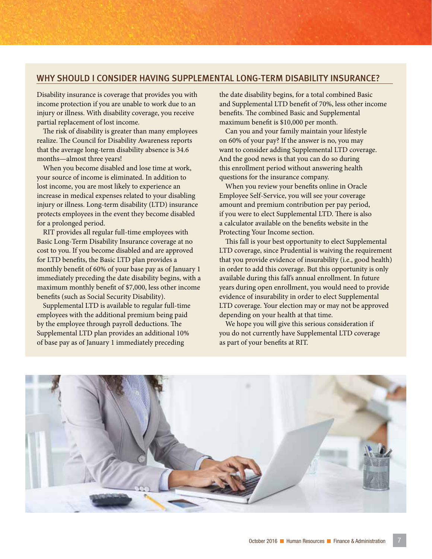#### WHY SHOULD I CONSIDER HAVING SUPPLEMENTAL LONG-TERM DISABILITY INSURANCE?

Disability insurance is coverage that provides you with income protection if you are unable to work due to an injury or illness. With disability coverage, you receive partial replacement of lost income.

The risk of disability is greater than many employees realize. The Council for Disability Awareness reports that the average long-term disability absence is 34.6 months—almost three years!

When you become disabled and lose time at work, your source of income is eliminated. In addition to lost income, you are most likely to experience an increase in medical expenses related to your disabling injury or illness. Long-term disability (LTD) insurance protects employees in the event they become disabled for a prolonged period.

RIT provides all regular full-time employees with Basic Long-Term Disability Insurance coverage at no cost to you. If you become disabled and are approved for LTD benefits, the Basic LTD plan provides a monthly benefit of 60% of your base pay as of January 1 immediately preceding the date disability begins, with a maximum monthly benefit of \$7,000, less other income benefits (such as Social Security Disability).

Supplemental LTD is available to regular full-time employees with the additional premium being paid by the employee through payroll deductions. The Supplemental LTD plan provides an additional 10% of base pay as of January 1 immediately preceding

the date disability begins, for a total combined Basic and Supplemental LTD benefit of 70%, less other income benefits. The combined Basic and Supplemental maximum benefit is \$10,000 per month.

Can you and your family maintain your lifestyle on 60% of your pay? If the answer is no, you may want to consider adding Supplemental LTD coverage. And the good news is that you can do so during this enrollment period without answering health questions for the insurance company.

When you review your benefits online in Oracle Employee Self-Service, you will see your coverage amount and premium contribution per pay period, if you were to elect Supplemental LTD. There is also a calculator available on the benefits website in the Protecting Your Income section.

This fall is your best opportunity to elect Supplemental LTD coverage, since Prudential is waiving the requirement that you provide evidence of insurability (i.e., good health) in order to add this coverage. But this opportunity is only available during this fall's annual enrollment. In future years during open enrollment, you would need to provide evidence of insurability in order to elect Supplemental LTD coverage. Your election may or may not be approved depending on your health at that time.

We hope you will give this serious consideration if you do not currently have Supplemental LTD coverage as part of your benefits at RIT.

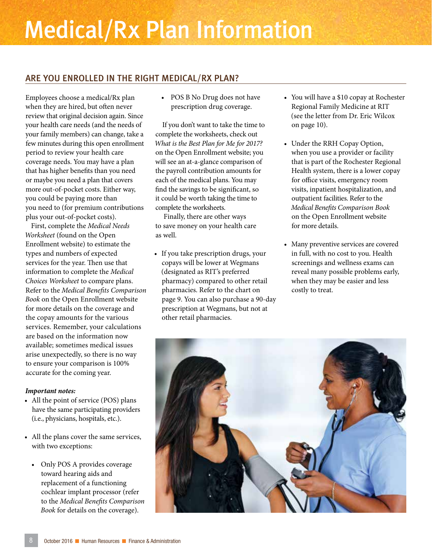## Medical/Rx Plan Information

#### ARE YOU ENROLLED IN THE RIGHT MEDICAL/RX PLAN?

Employees choose a medical/Rx plan when they are hired, but often never review that original decision again. Since your health care needs (and the needs of your family members) can change, take a few minutes during this open enrollment period to review your health care coverage needs. You may have a plan that has higher benefits than you need or maybe you need a plan that covers more out-of-pocket costs. Either way, you could be paying more than you need to (for premium contributions plus your out-of-pocket costs).

First, complete the *Medical Needs Worksheet* (found on the Open Enrollment website) to estimate the types and numbers of expected services for the year. Then use that information to complete the *Medical Choices Worksheet* to compare plans. Refer to the *Medical Benefits Comparison Book* on the Open Enrollment website for more details on the coverage and the copay amounts for the various services. Remember, your calculations are based on the information now available; sometimes medical issues arise unexpectedly, so there is no way to ensure your comparison is 100% accurate for the coming year.

#### *Important notes:*

- All the point of service (POS) plans have the same participating providers (i.e., physicians, hospitals, etc.).
- All the plans cover the same services, with two exceptions:
	- Only POS A provides coverage toward hearing aids and replacement of a functioning cochlear implant processor (refer to the *Medical Benefits Comparison Book* for details on the coverage).

• POS B No Drug does not have prescription drug coverage.

If you don't want to take the time to complete the worksheets, check out *What is the Best Plan for Me for 2017?* on the Open Enrollment website; you will see an at-a-glance comparison of the payroll contribution amounts for each of the medical plans. You may find the savings to be significant, so it could be worth taking the time to complete the worksheets.

Finally, there are other ways to save money on your health care as well.

• If you take prescription drugs, your copays will be lower at Wegmans (designated as RIT's preferred pharmacy) compared to other retail pharmacies. Refer to the chart on page 9. You can also purchase a 90-day prescription at Wegmans, but not at other retail pharmacies.

- You will have a \$10 copay at Rochester Regional Family Medicine at RIT (see the letter from Dr. Eric Wilcox on page 10).
- Under the RRH Copay Option, when you use a provider or facility that is part of the Rochester Regional Health system, there is a lower copay for office visits, emergency room visits, inpatient hospitalization, and outpatient facilities. Refer to the *Medical Benefits Comparison Book* on the Open Enrollment website for more details.
- Many preventive services are covered in full, with no cost to you. Health screenings and wellness exams can reveal many possible problems early, when they may be easier and less costly to treat.

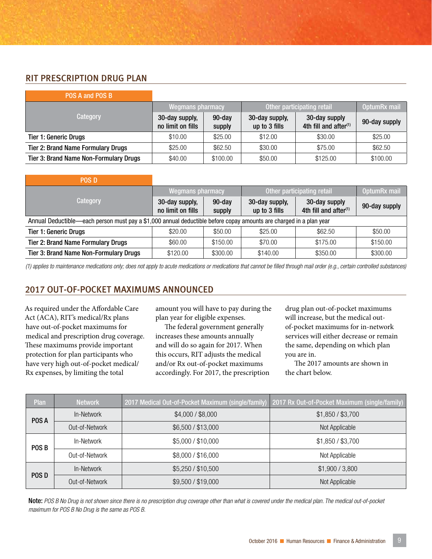#### RIT PRESCRIPTION DRUG PLAN

| POS A and POS B                               |                                     |                     |                                 |                                                    |               |
|-----------------------------------------------|-------------------------------------|---------------------|---------------------------------|----------------------------------------------------|---------------|
|                                               | <b>Wegmans pharmacy</b>             |                     |                                 | Other participating retail                         | OptumRx mail  |
| Category                                      | 30-day supply,<br>no limit on fills | $90$ -day<br>supply | 30-day supply,<br>up to 3 fills | 30-day supply<br>4th fill and after <sup>(1)</sup> | 90-day supply |
| <b>Tier 1: Generic Drugs</b>                  | \$10.00                             | \$25.00             | \$12.00                         | \$30.00                                            | \$25.00       |
| <b>Tier 2: Brand Name Formulary Drugs</b>     | \$25.00                             | \$62.50             | \$30.00                         | \$75.00                                            | \$62.50       |
| <b>Tier 3: Brand Name Non-Formulary Drugs</b> | \$40.00                             | \$100.00            | \$50.00                         | \$125.00                                           | \$100.00      |

| <b>POS D</b>                                                                                                       |                                     |                     |                                 |                                                    |               |
|--------------------------------------------------------------------------------------------------------------------|-------------------------------------|---------------------|---------------------------------|----------------------------------------------------|---------------|
|                                                                                                                    | <b>Wegmans pharmacy</b>             |                     |                                 | Other participating retail                         | OptumRx mail  |
| Category                                                                                                           | 30-day supply,<br>no limit on fills | $90$ -day<br>supply | 30-day supply,<br>up to 3 fills | 30-day supply<br>4th fill and after <sup>(1)</sup> | 90-day supply |
| Annual Deductible—each person must pay a \$1,000 annual deductible before copay amounts are charged in a plan year |                                     |                     |                                 |                                                    |               |
| <b>Tier 1: Generic Drugs</b>                                                                                       | \$20.00                             | \$50.00             | \$25.00                         | \$62.50                                            | \$50.00       |
| <b>Tier 2: Brand Name Formulary Drugs</b>                                                                          | \$60.00                             | \$150.00            | \$70.00                         | \$175.00                                           | \$150.00      |
| <b>Tier 3: Brand Name Non-Formulary Drugs</b>                                                                      | \$120.00                            | \$300.00            | \$140.00                        | \$350.00                                           | \$300.00      |

*(1) applies to maintenance medications only; does not apply to acute medications or medications that cannot be filled through mail order (e.g., certain controlled substances)*

#### 2017 OUT-OF-POCKET MAXIMUMS ANNOUNCED

As required under the Affordable Care Act (ACA), RIT's medical/Rx plans have out-of-pocket maximums for medical and prescription drug coverage. These maximums provide important protection for plan participants who have very high out-of-pocket medical/ Rx expenses, by limiting the total

amount you will have to pay during the plan year for eligible expenses.

The federal government generally increases these amounts annually and will do so again for 2017. When this occurs, RIT adjusts the medical and/or Rx out-of-pocket maximums accordingly. For 2017, the prescription drug plan out-of-pocket maximums will increase, but the medical outof-pocket maximums for in-network services will either decrease or remain the same, depending on which plan you are in.

The 2017 amounts are shown in the chart below.

| Plan             | <b>Network</b> | 2017 Medical Out-of-Pocket Maximum (single/family) | 2017 Rx Out-of-Pocket Maximum (single/family) |
|------------------|----------------|----------------------------------------------------|-----------------------------------------------|
| POS A            | In-Network     | \$4,000 / \$8,000                                  | \$1,850 / \$3,700                             |
|                  | Out-of-Network | \$6,500 / \$13,000                                 | Not Applicable                                |
| POS <sub>B</sub> | In-Network     | \$5,000 / \$10,000                                 | \$1,850 / \$3,700                             |
|                  | Out-of-Network | \$8,000 / \$16,000                                 | Not Applicable                                |
|                  | In-Network     | \$5,250 / \$10,500                                 | \$1,900 / 3,800                               |
| POS D            | Out-of-Network | \$9,500 / \$19,000                                 | Not Applicable                                |

Note: *POS B No Drug is not shown since there is no prescription drug coverage other than what is covered under the medical plan. The medical out-of-pocket maximum for POS B No Drug is the same as POS B.*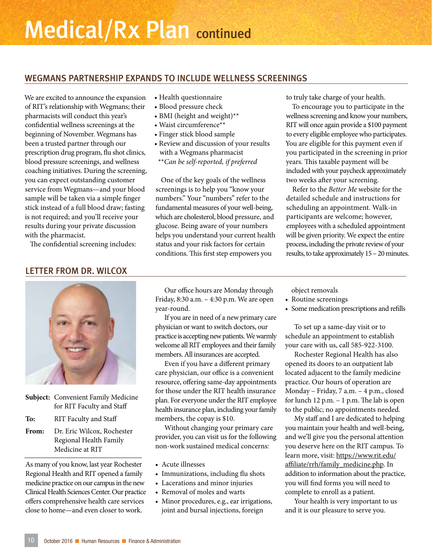#### WEGMANS PARTNERSHIP EXPANDS TO INCLUDE WELLNESS SCREENINGS

We are excited to announce the expansion of RIT's relationship with Wegmans; their pharmacists will conduct this year's confidential wellness screenings at the beginning of November. Wegmans has been a trusted partner through our prescription drug program, flu shot clinics, blood pressure screenings, and wellness coaching initiatives. During the screening, you can expect outstanding customer service from Wegmans—and your blood sample will be taken via a simple finger stick instead of a full blood draw; fasting is not required; and you'll receive your results during your private discussion with the pharmacist.

The confidential screening includes:

#### LETTER FROM DR. WILCOX



| <b>Subject:</b> Convenient Family Medicine |
|--------------------------------------------|
| for RIT Faculty and Staff                  |

**To:** RIT Faculty and Staff

**From:** Dr. Eric Wilcox, Rochester Regional Health Family Medicine at RIT

As many of you know, last year Rochester Regional Health and RIT opened a family medicine practice on our campus in the new Clinical Health Sciences Center. Our practice offers comprehensive health care services close to home—and even closer to work.

- Health questionnaire
- Blood pressure check
- BMI (height and weight)\*\*
- Waist circumference\*\*
- Finger stick blood sample
- Review and discussion of your results with a Wegmans pharmacist \*\**Can be self-reported, if preferred*

One of the key goals of the wellness screenings is to help you "know your numbers." Your "numbers" refer to the fundamental measures of your well-being, which are cholesterol, blood pressure, and glucose. Being aware of your numbers helps you understand your current health status and your risk factors for certain conditions. This first step empowers you

to truly take charge of your health.

To encourage you to participate in the wellness screening and know your numbers, RIT will once again provide a \$100 payment to every eligible employee who participates. You are eligible for this payment even if you participated in the screening in prior years. This taxable payment will be included with your paycheck approximately two weeks after your screening.

Refer to the *Better Me* website for the detailed schedule and instructions for scheduling an appointment. Walk-in participants are welcome; however, employees with a scheduled appointment will be given priority. We expect the entire process, including the private review of your results, to take approximately 15 – 20 minutes.

Our office hours are Monday through Friday, 8:30 a.m. – 4:30 p.m. We are open year-round.

If you are in need of a new primary care physician or want to switch doctors, our practice is accepting new patients. We warmly welcome all RIT employees and their family members. All insurances are accepted.

Even if you have a different primary care physician, our office is a convenient resource, offering same-day appointments for those under the RIT health insurance plan. For everyone under the RIT employee health insurance plan, including your family members, the copay is \$10.

Without changing your primary care provider, you can visit us for the following non-work sustained medical concerns:

- Acute illnesses
- Immunizations, including flu shots
- Lacerations and minor injuries
- Removal of moles and warts
- Minor procedures, e.g., ear irrigations, joint and bursal injections, foreign

object removals

- Routine screenings
- Some medication prescriptions and refills

To set up a same-day visit or to schedule an appointment to establish your care with us, call 585-922-3100.

Rochester Regional Health has also opened its doors to an outpatient lab located adjacent to the family medicine practice. Our hours of operation are Monday – Friday, 7 a.m. – 4 p.m., closed for lunch 12 p.m. – 1 p.m. The lab is open to the public; no appointments needed.

My staff and I are dedicated to helping you maintain your health and well-being, and we'll give you the personal attention you deserve here on the RIT campus. To learn more, visit: https://www.rit.edu/ affiliate/rrh/family\_medicine.php. In addition to information about the practice, you will find forms you will need to complete to enroll as a patient.

Your health is very important to us and it is our pleasure to serve you.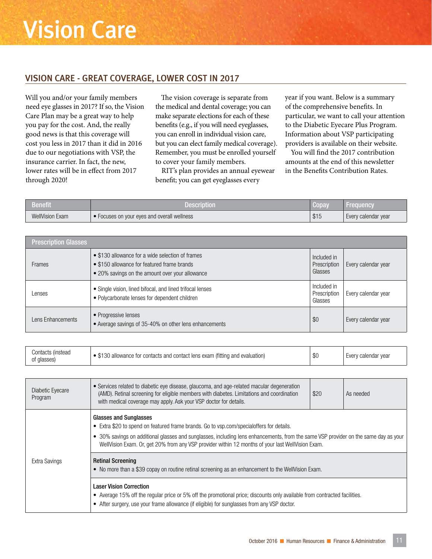#### VISION CARE - GREAT COVERAGE, LOWER COST IN 2017

Will you and/or your family members need eye glasses in 2017? If so, the Vision Care Plan may be a great way to help you pay for the cost. And, the really good news is that this coverage will cost you less in 2017 than it did in 2016 due to our negotiations with VSP, the insurance carrier. In fact, the new, lower rates will be in effect from 2017 through 2020!

The vision coverage is separate from the medical and dental coverage; you can make separate elections for each of these benefits (e.g., if you will need eyeglasses, you can enroll in individual vision care, but you can elect family medical coverage). Remember, you must be enrolled yourself to cover your family members.

RIT's plan provides an annual eyewear benefit; you can get eyeglasses every

year if you want. Below is a summary of the comprehensive benefits. In particular, we want to call your attention to the Diabetic Eyecare Plus Program. Information about VSP participating providers is available on their website.

You will find the 2017 contribution amounts at the end of this newsletter in the Benefits Contribution Rates.

| Benefit                | Description                                 | Copay | Frequency           |
|------------------------|---------------------------------------------|-------|---------------------|
| <b>WellVision Exam</b> | • Focuses on your eyes and overall wellness | \$15  | Every calendar year |

| <b>Prescription Glasses</b> |                                                                                                                                                    |                                        |                     |
|-----------------------------|----------------------------------------------------------------------------------------------------------------------------------------------------|----------------------------------------|---------------------|
| <b>Frames</b>               | • \$130 allowance for a wide selection of frames<br>• \$150 allowance for featured frame brands<br>• 20% savings on the amount over your allowance | Included in<br>Prescription<br>Glasses | Every calendar year |
| Lenses                      | • Single vision, lined bifocal, and lined trifocal lenses<br>• Polycarbonate lenses for dependent children                                         | Included in<br>Prescription<br>Glasses | Every calendar year |
| Lens Enhancements           | • Progressive lenses<br>• Average savings of 35-40% on other lens enhancements                                                                     | \$0                                    | Every calendar year |

| Contacts (instead | ) allowance for contacts and contact lens exam (fitting and evaluation) | ሱሪ | Every calendar vear |
|-------------------|-------------------------------------------------------------------------|----|---------------------|
| of glasses)       |                                                                         | ъı |                     |

| Diabetic Eyecare<br>Program | • Services related to diabetic eye disease, glaucoma, and age-related macular degeneration<br>(AMD). Retinal screening for eligible members with diabetes. Limitations and coordination<br>with medical coverage may apply. Ask your VSP doctor for details.                                                                                                                                                                                                                                            | \$20 | As needed |
|-----------------------------|---------------------------------------------------------------------------------------------------------------------------------------------------------------------------------------------------------------------------------------------------------------------------------------------------------------------------------------------------------------------------------------------------------------------------------------------------------------------------------------------------------|------|-----------|
| Extra Savings               | <b>Glasses and Sunglasses</b><br>• Extra \$20 to spend on featured frame brands. Go to vsp.com/specialoffers for details.<br>• 30% savings on additional glasses and sunglasses, including lens enhancements, from the same VSP provider on the same day as your<br>WellVision Exam. Or, get 20% from any VSP provider within 12 months of your last WellVision Exam.<br><b>Retinal Screening</b><br>• No more than a \$39 copay on routine retinal screening as an enhancement to the WellVision Exam. |      |           |
|                             | <b>Laser Vision Correction</b><br>• Average 15% off the regular price or 5% off the promotional price; discounts only available from contracted facilities.<br>• After surgery, use your frame allowance (if eligible) for sunglasses from any VSP doctor.                                                                                                                                                                                                                                              |      |           |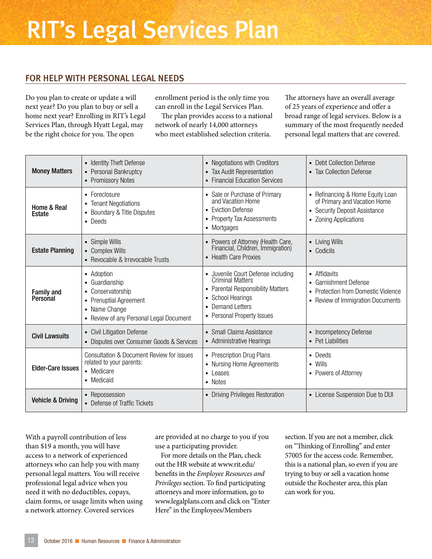### RIT's Legal Services Plan

#### FOR HELP WITH PERSONAL LEGAL NEEDS

Do you plan to create or update a will next year? Do you plan to buy or sell a home next year? Enrolling in RIT's Legal Services Plan, through Hyatt Legal, may be the right choice for you. The open

enrollment period is the only time you can enroll in the Legal Services Plan.

The plan provides access to a national network of nearly 14,000 attorneys who meet established selection criteria.

The attorneys have an overall average of 25 years of experience and offer a broad range of legal services. Below is a summary of the most frequently needed personal legal matters that are covered.

| <b>Money Matters</b>          | • Identity Theft Defense<br>• Personal Bankruptcy<br>• Promissory Notes                                                                            | • Negotiations with Creditors<br>• Tax Audit Representation<br>• Financial Education Services                                                                                               | • Debt Collection Defense<br>• Tax Collection Defense                                                                      |
|-------------------------------|----------------------------------------------------------------------------------------------------------------------------------------------------|---------------------------------------------------------------------------------------------------------------------------------------------------------------------------------------------|----------------------------------------------------------------------------------------------------------------------------|
| Home & Real<br>Estate         | • Foreclosure<br>• Tenant Negotiations<br>• Boundary & Title Disputes<br>• Deeds                                                                   | • Sale or Purchase of Primary<br>and Vacation Home<br>• Eviction Defense<br>• Property Tax Assessments<br>• Mortgages                                                                       | • Refinancing & Home Equity Loan<br>of Primary and Vacation Home<br>• Security Deposit Assistance<br>• Zoning Applications |
| <b>Estate Planning</b>        | • Simple Wills<br>• Complex Wills<br>• Revocable & Irrevocable Trusts                                                                              | • Powers of Attorney (Health Care,<br>Financial, Children, Immigration)<br>• Health Care Proxies                                                                                            | • Living Wills<br>• Codicils                                                                                               |
| <b>Family and</b><br>Personal | • Adoption<br>• Guardianship<br>Conservatorship<br>$\bullet$<br>• Prenuptial Agreement<br>• Name Change<br>• Review of any Personal Legal Document | • Juvenile Court Defense including<br><b>Criminal Matters</b><br>• Parental Responsibility Matters<br><b>School Hearings</b><br>$\bullet$<br>• Demand Letters<br>• Personal Property Issues | • Affidavits<br>• Garnishment Defense<br>• Protection from Domestic Violence<br>• Review of Immigration Documents          |
| <b>Civil Lawsuits</b>         | • Civil Litigation Defense<br>• Disputes over Consumer Goods & Services                                                                            | • Small Claims Assistance<br>• Administrative Hearings                                                                                                                                      | • Incompetency Defense<br>• Pet Liabilities                                                                                |
| <b>Elder-Care Issues</b>      | Consultation & Document Review for issues<br>related to your parents:<br>• Medicare<br>• Medicaid                                                  | • Prescription Drug Plans<br>• Nursing Home Agreements<br>$\bullet$ Leases<br>• Notes                                                                                                       | • Deeds<br>$\bullet$ Wills<br>• Powers of Attorney                                                                         |
| <b>Vehicle &amp; Driving</b>  | • Repossession<br>• Defense of Traffic Tickets                                                                                                     | • Driving Privileges Restoration                                                                                                                                                            | • License Suspension Due to DUI                                                                                            |

With a payroll contribution of less than \$19 a month, you will have access to a network of experienced attorneys who can help you with many personal legal matters. You will receive professional legal advice when you need it with no deductibles, copays, claim forms, or usage limits when using a network attorney. Covered services

are provided at no charge to you if you use a participating provider.

For more details on the Plan, check out the HR website at www.rit.edu/ benefits in the *Employee Resources and Privileges* section. To find participating attorneys and more information, go to www.legalplans.com and click on "Enter Here" in the Employees/Members

section. If you are not a member, click on "Thinking of Enrolling" and enter 57005 for the access code. Remember, this is a national plan, so even if you are trying to buy or sell a vacation home outside the Rochester area, this plan can work for you.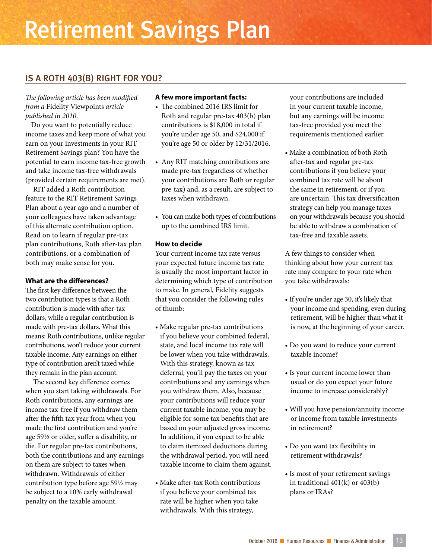### Retirement Savings Plan

#### IS A ROTH 403(B) RIGHT FOR YOU?

*The following article has been modified from a* Fidelity Viewpoints *article published in 2010*.

Do you want to potentially reduce income taxes and keep more of what you earn on your investments in your RIT Retirement Savings plan? You have the potential to earn income tax-free growth and take income tax-free withdrawals (provided certain requirements are met).

RIT added a Roth contribution feature to the RIT Retirement Savings Plan about a year ago and a number of your colleagues have taken advantage of this alternate contribution option. Read on to learn if regular pre-tax plan contributions, Roth after-tax plan contributions, or a combination of both may make sense for you.

#### **What are the differences?**

The first key difference between the two contribution types is that a Roth contribution is made with after-tax dollars, while a regular contribution is made with pre-tax dollars. What this means: Roth contributions, unlike regular contributions, won't reduce your current taxable income. Any earnings on either type of contribution aren't taxed while they remain in the plan account.

The second key difference comes when you start taking withdrawals. For Roth contributions, any earnings are income tax-free if you withdraw them after the fifth tax year from when you made the first contribution and you're age 59½ or older, suffer a disability, or die. For regular pre-tax contributions, both the contributions and any earnings on them are subject to taxes when withdrawn. Withdrawals of either contribution type before age 59½ may be subject to a 10% early withdrawal penalty on the taxable amount.

#### **A few more important facts:**

- The combined 2016 IRS limit for Roth and regular pre-tax 403(b) plan contributions is \$18,000 in total if you're under age 50, and \$24,000 if you're age 50 or older by 12/31/2016.
- Any RIT matching contributions are made pre-tax (regardless of whether your contributions are Roth or regular pre-tax) and, as a result, are subject to taxes when withdrawn.
- You can make both types of contributions up to the combined IRS limit.

#### **How to decide**

Your current income tax rate versus your expected future income tax rate is usually the most important factor in determining which type of contribution to make. In general, Fidelity suggests that you consider the following rules of thumb:

- Make regular pre-tax contributions if you believe your combined federal, state, and local income tax rate will be lower when you take withdrawals. With this strategy, known as tax deferral, you'll pay the taxes on your contributions and any earnings when you withdraw them. Also, because your contributions will reduce your current taxable income, you may be eligible for some tax benefits that are based on your adjusted gross income. In addition, if you expect to be able to claim itemized deductions during the withdrawal period, you will need taxable income to claim them against.
- Make after-tax Roth contributions if you believe your combined tax rate will be higher when you take withdrawals. With this strategy,

your contributions are included in your current taxable income, but any earnings will be income tax-free provided you meet the requirements mentioned earlier.

• Make a combination of both Roth after-tax and regular pre-tax contributions if you believe your combined tax rate will be about the same in retirement, or if you are uncertain. This tax diversification strategy can help you manage taxes on your withdrawals because you should be able to withdraw a combination of tax-free and taxable assets.

A few things to consider when thinking about how your current tax rate may compare to your rate when you take withdrawals:

- If you're under age 30, it's likely that your income and spending, even during retirement, will be higher than what it is now, at the beginning of your career.
- Do you want to reduce your current taxable income?
- Is your current income lower than usual or do you expect your future income to increase considerably?
- Will you have pension/annuity income or income from taxable investments in retirement?
- Do you want tax flexibility in retirement withdrawals?
- Is most of your retirement savings in traditional 401(k) or 403(b) plans or IRAs?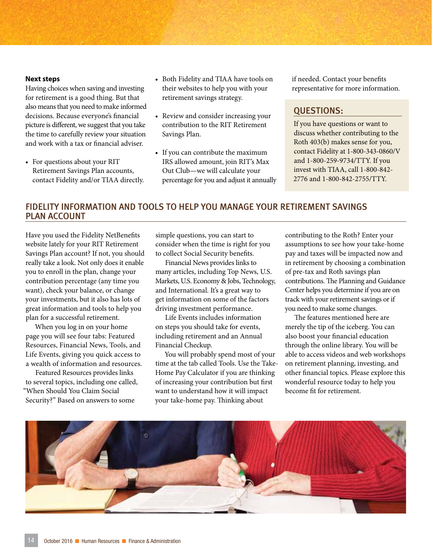#### **Next steps**

Having choices when saving and investing for retirement is a good thing. But that also means that you need to make informed decisions. Because everyone's financial picture is different, we suggest that you take the time to carefully review your situation and work with a tax or financial adviser.

• For questions about your RIT Retirement Savings Plan accounts, contact Fidelity and/or TIAA directly.

- Both Fidelity and TIAA have tools on their websites to help you with your retirement savings strategy.
- Review and consider increasing your contribution to the RIT Retirement Savings Plan.
- If you can contribute the maximum IRS allowed amount, join RIT's Max Out Club—we will calculate your percentage for you and adjust it annually

if needed. Contact your benefits representative for more information.

#### QUESTIONS:

If you have questions or want to discuss whether contributing to the Roth 403(b) makes sense for you, contact Fidelity at 1-800-343-0860/V and 1-800-259-9734/TTY. If you invest with TIAA, call 1-800-842- 2776 and 1-800-842-2755/TTY.

#### FIDELITY INFORMATION AND TOOLS TO HELP YOU MANAGE YOUR RETIREMENT SAVINGS PLAN ACCOUNT

Have you used the Fidelity NetBenefits website lately for your RIT Retirement Savings Plan account? If not, you should really take a look. Not only does it enable you to enroll in the plan, change your contribution percentage (any time you want), check your balance, or change your investments, but it also has lots of great information and tools to help you plan for a successful retirement.

When you log in on your home page you will see four tabs: Featured Resources, Financial News, Tools, and Life Events, giving you quick access to a wealth of information and resources.

Featured Resources provides links to several topics, including one called, "When Should You Claim Social Security?" Based on answers to some

simple questions, you can start to consider when the time is right for you to collect Social Security benefits.

Financial News provides links to many articles, including Top News, U.S. Markets, U.S. Economy & Jobs, Technology, and International. It's a great way to get information on some of the factors driving investment performance.

Life Events includes information on steps you should take for events, including retirement and an Annual Financial Checkup.

You will probably spend most of your time at the tab called Tools. Use the Take-Home Pay Calculator if you are thinking of increasing your contribution but first want to understand how it will impact your take-home pay. Thinking about

contributing to the Roth? Enter your assumptions to see how your take-home pay and taxes will be impacted now and in retirement by choosing a combination of pre-tax and Roth savings plan contributions. The Planning and Guidance Center helps you determine if you are on track with your retirement savings or if you need to make some changes.

The features mentioned here are merely the tip of the iceberg. You can also boost your financial education through the online library. You will be able to access videos and web workshops on retirement planning, investing, and other financial topics. Please explore this wonderful resource today to help you become fit for retirement.

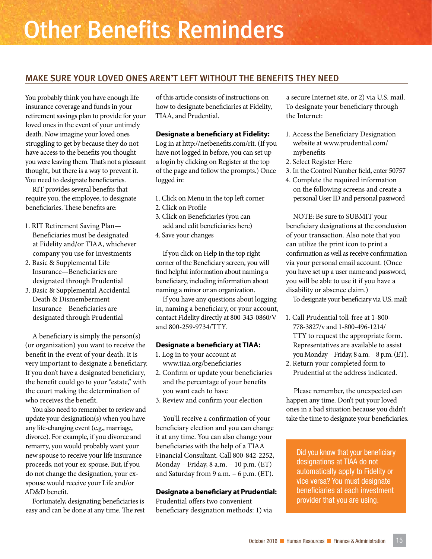### Other Benefits Reminders

#### MAKE SURE YOUR LOVED ONES AREN'T LEFT WITHOUT THE BENEFITS THEY NEED

You probably think you have enough life insurance coverage and funds in your retirement savings plan to provide for your loved ones in the event of your untimely death. Now imagine your loved ones struggling to get by because they do not have access to the benefits you thought you were leaving them. That's not a pleasant thought, but there is a way to prevent it. You need to designate beneficiaries.

RIT provides several benefits that require you, the employee, to designate beneficiaries. These benefits are:

- 1. RIT Retirement Saving Plan— Beneficiaries must be designated at Fidelity and/or TIAA, whichever company you use for investments
- 2. Basic & Supplemental Life Insurance—Beneficiaries are designated through Prudential
- 3. Basic & Supplemental Accidental Death & Dismemberment Insurance—Beneficiaries are designated through Prudential

A beneficiary is simply the person(s) (or organization) you want to receive the benefit in the event of your death. It is very important to designate a beneficiary. If you don't have a designated beneficiary, the benefit could go to your "estate," with the court making the determination of who receives the benefit.

You also need to remember to review and update your designation(s) when you have any life-changing event (e.g., marriage, divorce). For example, if you divorce and remarry, you would probably want your new spouse to receive your life insurance proceeds, not your ex-spouse. But, if you do not change the designation, your exspouse would receive your Life and/or AD&D benefit.

Fortunately, designating beneficiaries is easy and can be done at any time. The rest of this article consists of instructions on how to designate beneficiaries at Fidelity, TIAA, and Prudential.

#### **Designate a beneficiary at Fidelity:**

Log in at http://netbenefits.com/rit. (If you have not logged in before, you can set up a login by clicking on Register at the top of the page and follow the prompts.) Once logged in:

- 1. Click on Menu in the top left corner
- 2. Click on Profile
- 3. Click on Beneficiaries (you can add and edit beneficiaries here)
- 4. Save your changes

If you click on Help in the top right corner of the Beneficiary screen, you will find helpful information about naming a beneficiary, including information about naming a minor or an organization.

If you have any questions about logging in, naming a beneficiary, or your account, contact Fidelity directly at 800-343-0860/V and 800-259-9734/TTY.

#### **Designate a beneficiary at TIAA:**

- 1. Log in to your account at www.tiaa.org/beneficiaries
- 2. Confirm or update your beneficiaries and the percentage of your benefits you want each to have
- 3. Review and confirm your election

You'll receive a confirmation of your beneficiary election and you can change it at any time. You can also change your beneficiaries with the help of a TIAA Financial Consultant. Call 800-842-2252, Monday – Friday, 8 a.m. – 10 p.m. (ET) and Saturday from 9 a.m. – 6 p.m. (ET).

#### **Designate a beneficiary at Prudential:**

Prudential offers two convenient beneficiary designation methods: 1) via a secure Internet site, or 2) via U.S. mail. To designate your beneficiary through the Internet:

- 1. Access the Beneficiary Designation website at www.prudential.com/ mybenefits
- 2. Select Register Here
- 3. In the Control Number field, enter 50757
- 4. Complete the required information on the following screens and create a personal User ID and personal password

NOTE: Be sure to SUBMIT your beneficiary designations at the conclusion of your transaction. Also note that you can utilize the print icon to print a confirmation as well as receive confirmation via your personal email account. (Once you have set up a user name and password, you will be able to use it if you have a disability or absence claim.)

To designate your beneficiary via U.S. mail:

- 1. Call Prudential toll-free at 1-800- 778-3827/v and 1-800-496-1214/ TTY to request the appropriate form. Representatives are available to assist you Monday – Friday, 8 a.m. – 8 p.m. (ET).
- 2. Return your completed form to Prudential at the address indicated.

Please remember, the unexpected can happen any time. Don't put your loved ones in a bad situation because you didn't take the time to designate your beneficiaries.

Did you know that your beneficiary designations at TIAA do not automatically apply to Fidelity or vice versa? You must designate beneficiaries at each investment provider that you are using.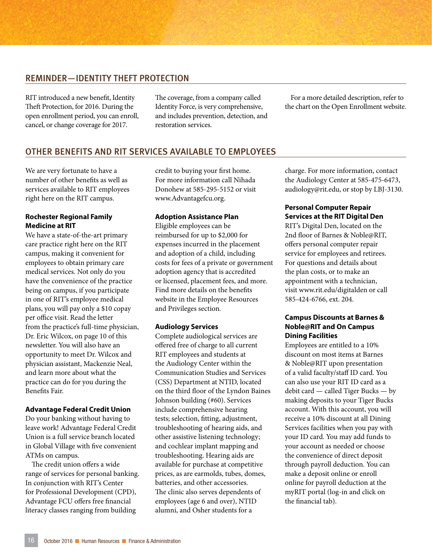#### REMINDER—IDENTITY THEFT PROTECTION

RIT introduced a new benefit, Identity Theft Protection, for 2016. During the open enrollment period, you can enroll, cancel, or change coverage for 2017.

The coverage, from a company called Identity Force, is very comprehensive, and includes prevention, detection, and restoration services.

For a more detailed description, refer to the chart on the Open Enrollment website.

#### OTHER BENEFITS AND RIT SERVICES AVAILABLE TO EMPLOYEES

We are very fortunate to have a number of other benefits as well as services available to RIT employees right here on the RIT campus.

#### **Rochester Regional Family Medicine at RIT**

We have a state-of-the-art primary care practice right here on the RIT campus, making it convenient for employees to obtain primary care medical services. Not only do you have the convenience of the practice being on campus, if you participate in one of RIT's employee medical plans, you will pay only a \$10 copay per office visit. Read the letter from the practice's full-time physician, Dr. Eric Wilcox, on page 10 of this newsletter. You will also have an opportunity to meet Dr. Wilcox and physician assistant, Mackenzie Neal, and learn more about what the practice can do for you during the Benefits Fair.

#### **Advantage Federal Credit Union**

Do your banking without having to leave work! Advantage Federal Credit Union is a full service branch located in Global Village with five convenient ATMs on campus.

The credit union offers a wide range of services for personal banking. In conjunction with RIT's Center for Professional Development (CPD), Advantage FCU offers free financial literacy classes ranging from building

credit to buying your first home. For more information call Nihada Donohew at 585-295-5152 or visit www.Advantagefcu.org.

#### **Adoption Assistance Plan**

Eligible employees can be reimbursed for up to \$2,000 for expenses incurred in the placement and adoption of a child, including costs for fees of a private or government adoption agency that is accredited or licensed, placement fees, and more. Find more details on the benefits website in the Employee Resources and Privileges section.

#### **Audiology Services**

Complete audiological services are offered free of charge to all current RIT employees and students at the Audiology Center within the Communication Studies and Services (CSS) Department at NTID, located on the third floor of the Lyndon Baines Johnson building (#60). Services include comprehensive hearing tests; selection, fitting, adjustment, troubleshooting of hearing aids, and other assistive listening technology; and cochlear implant mapping and troubleshooting. Hearing aids are available for purchase at competitive prices, as are earmolds, tubes, domes, batteries, and other accessories. The clinic also serves dependents of employees (age 6 and over), NTID alumni, and Osher students for a

charge. For more information, contact the Audiology Center at 585-475-6473, audiology@rit.edu, or stop by LBJ-3130.

#### **Personal Computer Repair Services at the RIT Digital Den**

RIT's Digital Den, located on the 2nd floor of Barnes & Noble@RIT, offers personal computer repair service for employees and retirees. For questions and details about the plan costs, or to make an appointment with a technician, visit www.rit.edu/digitalden or call 585-424-6766, ext. 204.

#### **Campus Discounts at Barnes & Noble@RIT and On Campus Dining Facilities**

Employees are entitled to a 10% discount on most items at Barnes & Noble@RIT upon presentation of a valid faculty/staff ID card. You can also use your RIT ID card as a debit card — called Tiger Bucks — by making deposits to your Tiger Bucks account. With this account, you will receive a 10% discount at all Dining Services facilities when you pay with your ID card. You may add funds to your account as needed or choose the convenience of direct deposit through payroll deduction. You can make a deposit online or enroll online for payroll deduction at the myRIT portal (log-in and click on the financial tab).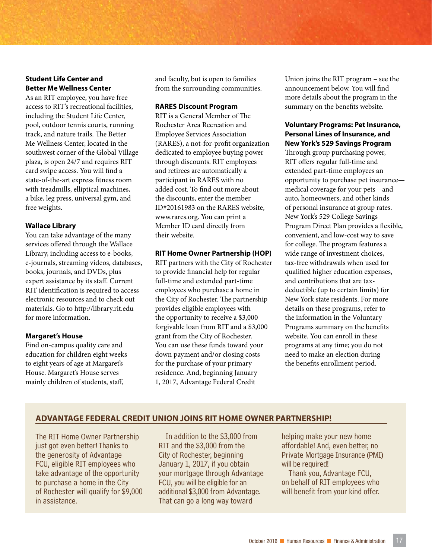#### **Student Life Center and Better Me Wellness Center**

As an RIT employee, you have free access to RIT's recreational facilities, including the Student Life Center, pool, outdoor tennis courts, running track, and nature trails. The Better Me Wellness Center, located in the southwest corner of the Global Village plaza, is open 24/7 and requires RIT card swipe access. You will find a state-of-the-art express fitness room with treadmills, elliptical machines, a bike, leg press, universal gym, and free weights.

#### **Wallace Library**

You can take advantage of the many services offered through the Wallace Library, including access to e-books, e-journals, streaming videos, databases, books, journals, and DVDs, plus expert assistance by its staff. Current RIT identification is required to access electronic resources and to check out materials. Go to http://library.rit.edu for more information.

#### **Margaret's House**

Find on-campus quality care and education for children eight weeks to eight years of age at Margaret's House. Margaret's House serves mainly children of students, staff,

and faculty, but is open to families from the surrounding communities.

#### **RARES Discount Program**

RIT is a General Member of The Rochester Area Recreation and Employee Services Association (RARES), a not-for-profit organization dedicated to employee buying power through discounts. RIT employees and retirees are automatically a participant in RARES with no added cost. To find out more about the discounts, enter the member ID#20161983 on the RARES website, www.rares.org. You can print a Member ID card directly from their website.

#### **RIT Home Owner Partnership (HOP)**

RIT partners with the City of Rochester to provide financial help for regular full-time and extended part-time employees who purchase a home in the City of Rochester. The partnership provides eligible employees with the opportunity to receive a \$3,000 forgivable loan from RIT and a \$3,000 grant from the City of Rochester. You can use these funds toward your down payment and/or closing costs for the purchase of your primary residence. And, beginning January 1, 2017, Advantage Federal Credit

Union joins the RIT program – see the announcement below. You will find more details about the program in the summary on the benefits website.

#### **Voluntary Programs: Pet Insurance, Personal Lines of Insurance, and New York's 529 Savings Program**

Through group purchasing power, RIT offers regular full-time and extended part-time employees an opportunity to purchase pet insurance medical coverage for your pets—and auto, homeowners, and other kinds of personal insurance at group rates. New York's 529 College Savings Program Direct Plan provides a flexible, convenient, and low-cost way to save for college. The program features a wide range of investment choices, tax-free withdrawals when used for qualified higher education expenses, and contributions that are taxdeductible (up to certain limits) for New York state residents. For more details on these programs, refer to the information in the Voluntary Programs summary on the benefits website. You can enroll in these programs at any time; you do not need to make an election during the benefits enrollment period.

#### **ADVANTAGE FEDERAL CREDIT UNION JOINS RIT HOME OWNER PARTNERSHIP!**

The RIT Home Owner Partnership just got even better! Thanks to the generosity of Advantage FCU, eligible RIT employees who take advantage of the opportunity to purchase a home in the City of Rochester will qualify for \$9,000 in assistance.

In addition to the \$3,000 from RIT and the \$3,000 from the City of Rochester, beginning January 1, 2017, if you obtain your mortgage through Advantage FCU, you will be eligible for an additional \$3,000 from Advantage. That can go a long way toward

helping make your new home affordable! And, even better, no Private Mortgage Insurance (PMI) will be required!

Thank you, Advantage FCU, on behalf of RIT employees who will benefit from your kind offer.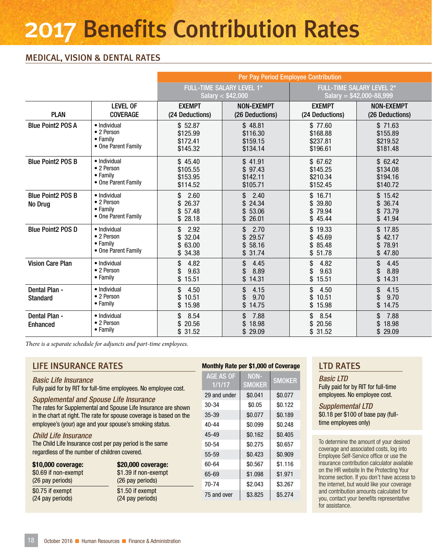### 2017 Benefits Contribution Rates

#### MEDICAL, VISION & DENTAL RATES

|                                     | Per Pay Period Employee Contribution                          |                                             |                                                         |                                             |                                                               |
|-------------------------------------|---------------------------------------------------------------|---------------------------------------------|---------------------------------------------------------|---------------------------------------------|---------------------------------------------------------------|
|                                     |                                                               |                                             | <b>FULL-TIME SALARY LEVEL 1*</b><br>Salary $<$ \$42,000 |                                             | <b>FULL-TIME SALARY LEVEL 2*</b><br>Salary = $$42,000-88,999$ |
| <b>PLAN</b>                         | LEVEL OF<br><b>COVERAGE</b>                                   | <b>EXEMPT</b><br>(24 Deductions)            | <b>NON-EXEMPT</b><br>(26 Deductions)                    | <b>EXEMPT</b><br>(24 Deductions)            | <b>NON-EXEMPT</b><br>(26 Deductions)                          |
| <b>Blue Point2 POS A</b>            | · Individual<br>• 2 Person<br>• Family<br>• One Parent Family | \$52.87<br>\$125.99<br>\$172.41<br>\$145.32 | \$48.81<br>\$116.30<br>\$159.15<br>\$134.14             | \$77.60<br>\$168.88<br>\$237.81<br>\$196.61 | \$71.63<br>\$155.89<br>\$219.52<br>\$181.48                   |
| <b>Blue Point2 POS B</b>            | · Individual<br>• 2 Person<br>• Family<br>• One Parent Family | \$45.40<br>\$105.55<br>\$153.95<br>\$114.52 | \$41.91<br>\$97.43<br>\$142.11<br>\$105.71              | \$67.62<br>\$145.25<br>\$210.34<br>\$152.45 | \$62.42<br>\$134.08<br>\$194.16<br>\$140.72                   |
| <b>Blue Point2 POS B</b><br>No Drug | · Individual<br>• 2 Person<br>• Family<br>• One Parent Family | \$<br>2.60<br>\$26.37<br>\$57.48<br>\$28.18 | \$2.40<br>\$24.34<br>\$53.06<br>\$26.01                 | \$16.71<br>\$39.80<br>\$79.94<br>\$45.44    | \$15.42<br>\$36.74<br>\$73.79<br>\$41.94                      |
| <b>Blue Point2 POS D</b>            | · Individual<br>• 2 Person<br>• Family<br>• One Parent Family | \$<br>2.92<br>\$32.04<br>\$63.00<br>\$34.38 | \$ 2.70<br>\$29.57<br>\$58.16<br>\$31.74                | \$19.33<br>\$45.69<br>\$85.48<br>\$51.78    | \$17.85<br>\$42.17<br>\$78.91<br>\$47.80                      |
| <b>Vision Care Plan</b>             | · Individual<br>• 2 Person<br>• Family                        | \$<br>4.82<br>9.63<br>\$15.51               | 4.45<br>\$<br>8.89<br>\$<br>\$14.31                     | \$<br>4.82<br>9.63<br>\$<br>\$15.51         | 4.45<br>$\mathbb{S}$<br>8.89<br>\$<br>\$14.31                 |
| Dental Plan -<br><b>Standard</b>    | · Individual<br>• 2 Person<br>• Family                        | \$.<br>4.50<br>\$10.51<br>\$15.98           | 4.15<br>\$<br>9.70<br>\$<br>\$14.75                     | \$4.50<br>\$10.51<br>\$15.98                | 4.15<br>\$.<br>9.70<br>\$<br>\$14.75                          |
| Dental Plan -<br><b>Enhanced</b>    | · Individual<br>• 2 Person<br>$\bullet$ Family                | \$8.54<br>\$20.56<br>\$31.52                | \$7.88<br>\$18.98<br>\$29.09                            | \$8.54<br>\$20.56<br>\$31.52                | \$7.88<br>\$18.98<br>\$29.09                                  |

*There is a separate schedule for adjuncts and part-time employees.* 

#### LIFE INSURANCE RATES

#### *Basic Life Insurance*

Fully paid for by RIT for full-time employees. No employee cost.

#### *Supplemental and Spouse Life Insurance*

The rates for Supplemental and Spouse Life Insurance are shown in the chart at right. The rate for spouse coverage is based on the employee's (your) age and your spouse's smoking status.

#### *Child Life Insurance*

The Child Life Insurance cost per pay period is the same regardless of the number of children covered.

| \$10,000 coverage:   | \$20,000 coverage:   |
|----------------------|----------------------|
| \$0.69 if non-exempt | \$1.39 if non-exempt |
| (26 pay periods)     | (26 pay periods)     |
| \$0.75 if exempt     | \$1.50 if exempt     |
| (24 pay periods)     | (24 pay periods)     |

#### Monthly Rate per \$1,000 of Coverage

AGE AS OF 1/1/17 NON-SMOKER SMOKER 29 and under | \$0.041 | \$0.077 30-34 \$0.05 \$0.122 35-39 \$0.077 \$0.189 40-44 \$0.099 \$0.248 45-49 \$0.162 \$0.405  $50-54$   $\$0.275$   $\$0.657$ 55-59 \$0.423 \$0.909 60-64 \$0.567 \$1.116 65-69 \$1.098 \$1.971 70-74 \$2.043 \$3.267 75 and over | \$3.825 | \$5.274

#### LTD RATES

*Basic LTD* Fully paid for by RIT for full-time employees. No employee cost.

*Supplemental LTD* \$0.18 per \$100 of base pay (fulltime employees only)

To determine the amount of your desired coverage and associated costs, log into Employee Self-Service office or use the insurance contribution calculator available on the HR website In the Protecting Your Income section. If you don't have access to the internet, but would like your coverage and contribution amounts calculated for you, contact your benefits representative for assistance.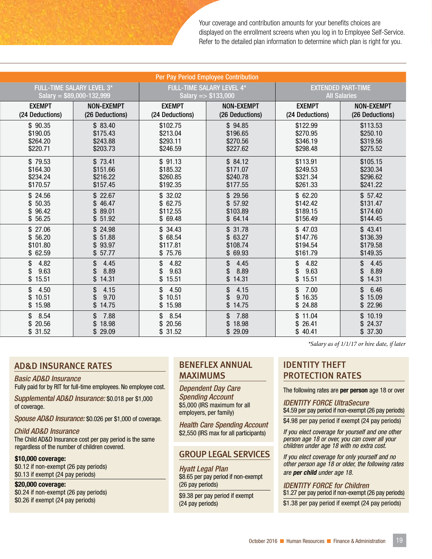Your coverage and contribution amounts for your benefits choices are displayed on the enrollment screens when you log in to Employee Self-Service. Refer to the detailed plan information to determine which plan is right for you.

| <b>Per Pay Period Employee Contribution</b> |                                         |                                     |                                         |                                     |                                     |  |
|---------------------------------------------|-----------------------------------------|-------------------------------------|-----------------------------------------|-------------------------------------|-------------------------------------|--|
| <b>FULL-TIME SALARY LEVEL 3*</b>            |                                         | <b>FULL-TIME SALARY LEVEL 4*</b>    |                                         | <b>EXTENDED PART-TIME</b>           |                                     |  |
| Salary = $$89,000-132,999$                  |                                         | Salary = $$133,000$                 |                                         | <b>All Salaries</b>                 |                                     |  |
| <b>EXEMPT</b>                               | <b>NON-EXEMPT</b>                       | <b>EXEMPT</b>                       | <b>NON-EXEMPT</b>                       | <b>EXEMPT</b>                       | <b>NON-EXEMPT</b>                   |  |
| (24 Deductions)                             | (26 Deductions)                         | (24 Deductions)                     | (26 Deductions)                         | (24 Deductions)                     | (26 Deductions)                     |  |
| \$90.35                                     | \$83.40                                 | \$102.75                            | \$94.85                                 | \$122.99                            | \$113.53                            |  |
| \$190.05                                    | \$175.43                                | \$213.04                            | \$196.65                                | \$270.95                            | \$250.10                            |  |
| \$264.20                                    | \$243.88                                | \$293.11                            | \$270.56                                | \$346.19                            | \$319.56                            |  |
| \$220.71                                    | \$203.73                                | \$246.59                            | \$227.62                                | \$298.48                            | \$275.52                            |  |
| \$79.53                                     | \$73.41                                 | \$91.13                             | \$84.12                                 | \$113.91                            | \$105.15                            |  |
| \$164.30                                    | \$151.66                                | \$185.32                            | \$171.07                                | \$249.53                            | \$230.34                            |  |
| \$234.24                                    | \$216.22                                | \$260.85                            | \$240.78                                | \$321.34                            | \$296.62                            |  |
| \$170.57                                    | \$157.45                                | \$192.35                            | \$177.55                                | \$261.33                            | \$241.22                            |  |
| \$24.56                                     | \$22.67                                 | \$32.02                             | \$29.56                                 | \$62.20                             | \$57.42                             |  |
| \$50.35                                     | \$46.47                                 | \$62.75                             | \$57.92                                 | \$142.42                            | \$131.47                            |  |
| \$96.42                                     | \$89.01                                 | \$112.55                            | \$103.89                                | \$189.15                            | \$174.60                            |  |
| \$56.25                                     | \$51.92                                 | \$69.48                             | \$64.14                                 | \$156.49                            | \$144.45                            |  |
| \$27.06                                     | \$24.98                                 | \$34.43                             | \$31.78                                 | \$47.03                             | \$43.41                             |  |
| \$56.20                                     | \$51.88                                 | \$68.54                             | \$63.27                                 | \$147.76                            | \$136.39                            |  |
| \$101.80                                    | 93.97                                   | \$117.81                            | \$108.74                                | \$194.54                            | \$179.58                            |  |
| \$62.59                                     | \$57.77                                 | \$75.76                             | \$ 69.93                                | \$161.79                            | \$149.35                            |  |
| 4.82<br>\$<br>9.63<br>\$<br>\$15.51         | 4.45<br>\$<br>8.89<br>\$<br>\$14.31     | 4.82<br>\$<br>9.63<br>\$<br>\$15.51 | 4.45<br>\$.<br>8.89<br>\$14.31          | 4.82<br>\$<br>9.63<br>\$<br>\$15.51 | 4.45<br>\$<br>8.89<br>\$<br>\$14.31 |  |
| \$<br>4.50<br>10.51<br>\$<br>\$15.98        | 4.15<br>\$<br>9.70<br>\$<br>14.75<br>\$ | \$4.50<br>\$10.51<br>\$15.98        | 4.15<br>$\mathbb{S}$<br>9.70<br>\$14.75 | \$<br>7.00<br>\$16.35<br>\$24.88    | \$<br>6.46<br>\$15.09<br>\$22.96    |  |
| \$<br>8.54<br>20.56<br>\$<br>\$31.52        | 7.88<br>\$<br>18.98<br>\$<br>\$29.09    | \$8.54<br>\$20.56<br>\$31.52        | \$<br>7.88<br>\$18.98<br>\$29.09        | \$11.04<br>\$26.41<br>\$40.41       | \$10.19<br>\$24.37<br>\$37.30       |  |

#### AD&D INSURANCE RATES

#### *Basic AD&D Insurance*

Fully paid for by RIT for full-time employees. No employee cost.

*Supplemental AD&D Insurance:* \$0.018 per \$1,000 of coverage.

*Spouse AD&D Insurance:* \$0.026 per \$1,000 of coverage.

#### *Child AD&D Insurance*

The Child AD&D Insurance cost per pay period is the same regardless of the number of children covered.

#### \$10,000 coverage:

\$0.12 if non-exempt (26 pay periods) \$0.13 if exempt (24 pay periods)

#### \$20,000 coverage:

\$0.24 if non-exempt (26 pay periods) \$0.26 if exempt (24 pay periods)

#### BENEFLEX ANNUAL MAXIMUMS

*Dependent Day Care Spending Account* \$5,000 (IRS maximum for all employers, per family)

*Health Care Spending Account*  \$2,550 (IRS max for all participants)

#### GROUP LEGAL SERVICES

*Hyatt Legal Plan* \$8.65 per pay period if non-exempt (26 pay periods)

\$9.38 per pay period if exempt (24 pay periods)

*There is a separate schedule for adjuncts and part-time employees. \*Salary as of 1/1/17 or hire date, if later*

#### IDENTITY THEFT PROTECTION RATES

The following rates are per person age 18 or over

*IDENTITY FORCE UltraSecure* \$4.59 per pay period if non-exempt (26 pay periods)

\$4.98 per pay period if exempt (24 pay periods)

*If you elect coverage for yourself and one other person age 18 or over, you can cover all your children under age 18 with no extra cost.*

*If you elect coverage for only yourself and no other person age 18 or older, the following rates are per child under age 18.*

*IDENTITY FORCE for Children* \$1.27 per pay period if non-exempt (26 pay periods) \$1.38 per pay period if exempt (24 pay periods)